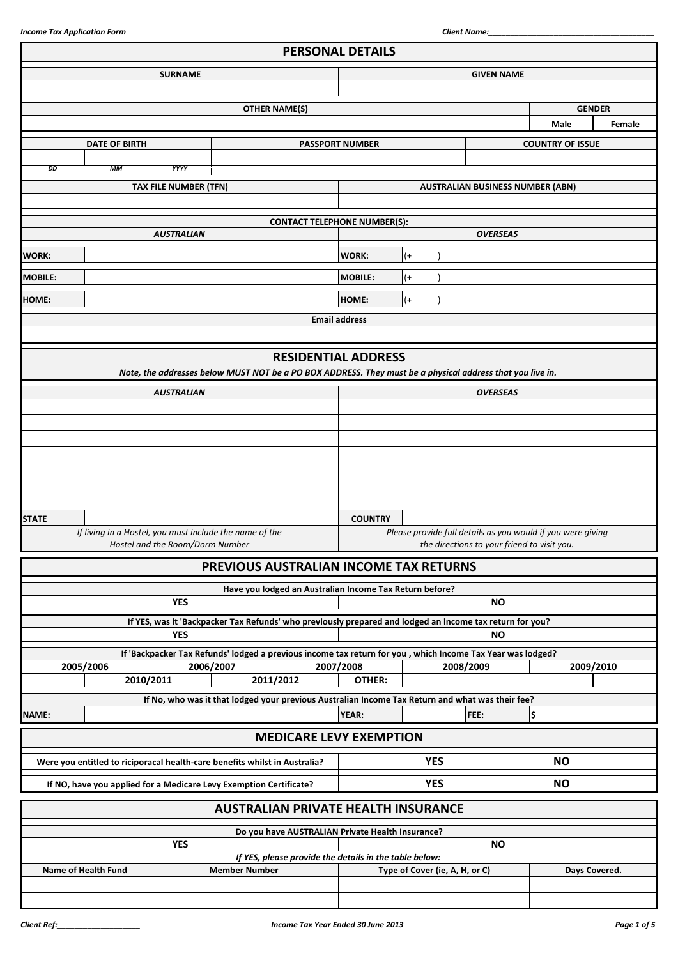|                |                            |                                                                                                                          |                      |                                                         | <b>PERSONAL DETAILS</b> |                                |                                                             |                         |        |
|----------------|----------------------------|--------------------------------------------------------------------------------------------------------------------------|----------------------|---------------------------------------------------------|-------------------------|--------------------------------|-------------------------------------------------------------|-------------------------|--------|
|                |                            | <b>SURNAME</b>                                                                                                           |                      |                                                         |                         |                                | <b>GIVEN NAME</b>                                           |                         |        |
|                |                            |                                                                                                                          |                      |                                                         |                         |                                |                                                             |                         |        |
|                |                            |                                                                                                                          |                      | <b>OTHER NAME(S)</b>                                    |                         |                                |                                                             | <b>GENDER</b>           |        |
|                |                            |                                                                                                                          |                      |                                                         |                         |                                |                                                             | <b>Male</b>             | Female |
|                | <b>DATE OF BIRTH</b>       |                                                                                                                          |                      |                                                         | <b>PASSPORT NUMBER</b>  |                                |                                                             | <b>COUNTRY OF ISSUE</b> |        |
|                |                            |                                                                                                                          |                      |                                                         |                         |                                |                                                             |                         |        |
| DD             | МM                         | YYYY                                                                                                                     |                      |                                                         |                         |                                |                                                             |                         |        |
|                |                            | <b>TAX FILE NUMBER (TFN)</b>                                                                                             |                      |                                                         |                         |                                | <b>AUSTRALIAN BUSINESS NUMBER (ABN)</b>                     |                         |        |
|                |                            |                                                                                                                          |                      |                                                         |                         |                                |                                                             |                         |        |
|                |                            |                                                                                                                          |                      | <b>CONTACT TELEPHONE NUMBER(S):</b>                     |                         |                                |                                                             |                         |        |
|                |                            | <b>AUSTRALIAN</b>                                                                                                        |                      |                                                         |                         |                                | <b>OVERSEAS</b>                                             |                         |        |
| <b>WORK:</b>   |                            |                                                                                                                          |                      |                                                         | WORK:                   | $(+)$                          |                                                             |                         |        |
| <b>MOBILE:</b> |                            |                                                                                                                          |                      |                                                         | <b>MOBILE:</b>          | $($ +                          |                                                             |                         |        |
|                |                            |                                                                                                                          |                      |                                                         |                         |                                |                                                             |                         |        |
| <b>HOME:</b>   |                            |                                                                                                                          |                      |                                                         | HOME:                   | $(+)$                          |                                                             |                         |        |
|                |                            |                                                                                                                          |                      |                                                         | <b>Email address</b>    |                                |                                                             |                         |        |
|                |                            |                                                                                                                          |                      |                                                         |                         |                                |                                                             |                         |        |
|                |                            |                                                                                                                          |                      | <b>RESIDENTIAL ADDRESS</b>                              |                         |                                |                                                             |                         |        |
|                |                            | Note, the addresses below MUST NOT be a PO BOX ADDRESS. They must be a physical address that you live in.                |                      |                                                         |                         |                                |                                                             |                         |        |
|                |                            | <b>AUSTRALIAN</b>                                                                                                        |                      |                                                         |                         |                                | <b>OVERSEAS</b>                                             |                         |        |
|                |                            |                                                                                                                          |                      |                                                         |                         |                                |                                                             |                         |        |
|                |                            |                                                                                                                          |                      |                                                         |                         |                                |                                                             |                         |        |
|                |                            |                                                                                                                          |                      |                                                         |                         |                                |                                                             |                         |        |
|                |                            |                                                                                                                          |                      |                                                         |                         |                                |                                                             |                         |        |
|                |                            |                                                                                                                          |                      |                                                         |                         |                                |                                                             |                         |        |
|                |                            |                                                                                                                          |                      |                                                         |                         |                                |                                                             |                         |        |
|                |                            |                                                                                                                          |                      |                                                         |                         |                                |                                                             |                         |        |
| <b>STATE</b>   |                            | If living in a Hostel, you must include the name of the                                                                  |                      |                                                         | <b>COUNTRY</b>          |                                | Please provide full details as you would if you were giving |                         |        |
|                |                            | Hostel and the Room/Dorm Number                                                                                          |                      |                                                         |                         |                                | the directions to your friend to visit you.                 |                         |        |
|                |                            |                                                                                                                          |                      | PREVIOUS AUSTRALIAN INCOME TAX RETURNS                  |                         |                                |                                                             |                         |        |
|                |                            |                                                                                                                          |                      |                                                         |                         |                                |                                                             |                         |        |
|                |                            | <b>YES</b>                                                                                                               |                      | Have you lodged an Australian Income Tax Return before? |                         |                                |                                                             |                         |        |
|                |                            |                                                                                                                          |                      |                                                         |                         |                                | <b>NO</b>                                                   |                         |        |
|                |                            | If YES, was it 'Backpacker Tax Refunds' who previously prepared and lodged an income tax return for you?<br><b>YES</b>   |                      |                                                         |                         |                                | <b>NO</b>                                                   |                         |        |
|                |                            |                                                                                                                          |                      |                                                         |                         |                                |                                                             |                         |        |
|                | 2005/2006                  | If 'Backpacker Tax Refunds' lodged a previous income tax return for you , which Income Tax Year was lodged?<br>2006/2007 |                      |                                                         | 2007/2008               |                                | 2008/2009                                                   | 2009/2010               |        |
|                |                            | 2010/2011                                                                                                                |                      | 2011/2012                                               | OTHER:                  |                                |                                                             |                         |        |
|                |                            | If No, who was it that lodged your previous Australian Income Tax Return and what was their fee?                         |                      |                                                         |                         |                                |                                                             |                         |        |
| NAME:          |                            |                                                                                                                          |                      |                                                         | <b>YEAR:</b>            |                                | FEE:                                                        | \$                      |        |
|                |                            |                                                                                                                          |                      |                                                         |                         |                                |                                                             |                         |        |
|                |                            |                                                                                                                          |                      | <b>MEDICARE LEVY EXEMPTION</b>                          |                         |                                |                                                             |                         |        |
|                |                            | Were you entitled to riciporacal health-care benefits whilst in Australia?                                               |                      |                                                         |                         | <b>YES</b>                     |                                                             | <b>NO</b>               |        |
|                |                            | If NO, have you applied for a Medicare Levy Exemption Certificate?                                                       |                      |                                                         |                         | <b>YES</b>                     |                                                             | <b>NO</b>               |        |
|                |                            |                                                                                                                          |                      |                                                         |                         |                                |                                                             |                         |        |
|                |                            |                                                                                                                          |                      | <b>AUSTRALIAN PRIVATE HEALTH INSURANCE</b>              |                         |                                |                                                             |                         |        |
|                |                            |                                                                                                                          |                      | Do you have AUSTRALIAN Private Health Insurance?        |                         |                                |                                                             |                         |        |
|                |                            | <b>YES</b>                                                                                                               |                      |                                                         |                         |                                | <b>NO</b>                                                   |                         |        |
|                | <b>Name of Health Fund</b> |                                                                                                                          | <b>Member Number</b> | If YES, please provide the details in the table below:  |                         | Type of Cover (ie, A, H, or C) |                                                             | Days Covered.           |        |
|                |                            |                                                                                                                          |                      |                                                         |                         |                                |                                                             |                         |        |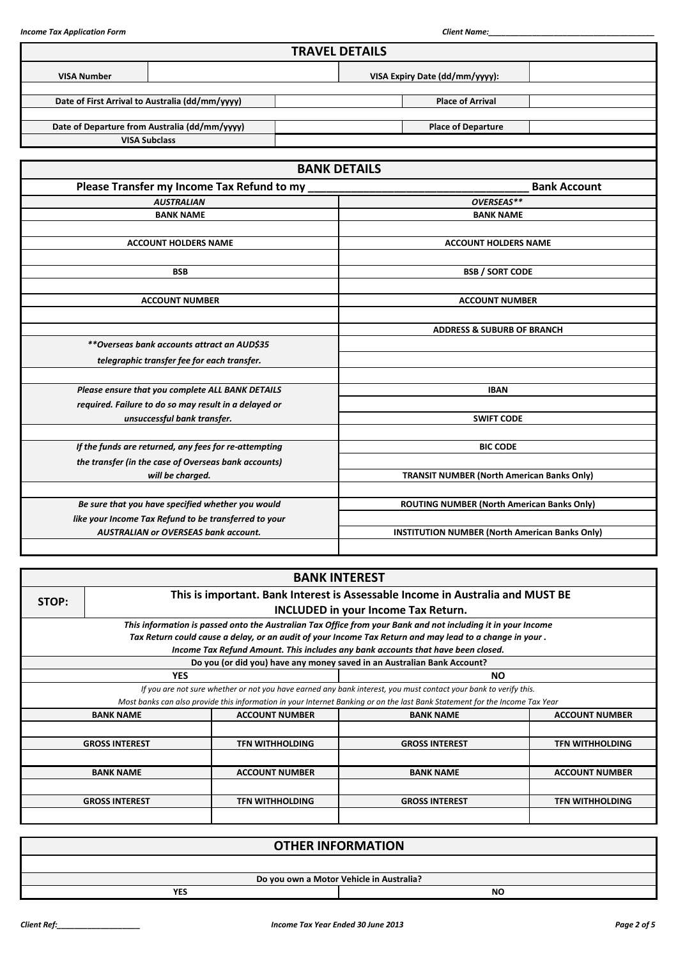|                    |                                                       | <b>TRAVEL DETAILS</b>                                 |                                                   |                     |  |  |
|--------------------|-------------------------------------------------------|-------------------------------------------------------|---------------------------------------------------|---------------------|--|--|
| <b>VISA Number</b> |                                                       |                                                       | VISA Expiry Date (dd/mm/yyyy):                    |                     |  |  |
|                    | Date of First Arrival to Australia (dd/mm/yyyy)       |                                                       | <b>Place of Arrival</b>                           |                     |  |  |
|                    | Date of Departure from Australia (dd/mm/yyyy)         |                                                       | <b>Place of Departure</b>                         |                     |  |  |
|                    | <b>VISA Subclass</b>                                  |                                                       |                                                   |                     |  |  |
|                    |                                                       | <b>BANK DETAILS</b>                                   |                                                   |                     |  |  |
|                    | Please Transfer my Income Tax Refund to my            |                                                       |                                                   | <b>Bank Account</b> |  |  |
|                    | <b>AUSTRALIAN</b>                                     |                                                       | OVERSEAS**                                        |                     |  |  |
|                    | <b>BANK NAME</b>                                      |                                                       | <b>BANK NAME</b>                                  |                     |  |  |
|                    |                                                       |                                                       |                                                   |                     |  |  |
|                    | <b>ACCOUNT HOLDERS NAME</b>                           |                                                       | <b>ACCOUNT HOLDERS NAME</b>                       |                     |  |  |
|                    |                                                       |                                                       |                                                   |                     |  |  |
|                    | <b>BSB</b>                                            |                                                       | <b>BSB / SORT CODE</b>                            |                     |  |  |
|                    |                                                       |                                                       |                                                   |                     |  |  |
|                    | <b>ACCOUNT NUMBER</b>                                 | <b>ACCOUNT NUMBER</b>                                 |                                                   |                     |  |  |
|                    |                                                       |                                                       |                                                   |                     |  |  |
|                    |                                                       |                                                       | <b>ADDRESS &amp; SUBURB OF BRANCH</b>             |                     |  |  |
|                    | **Overseas bank accounts attract an AUD\$35           |                                                       |                                                   |                     |  |  |
|                    | telegraphic transfer fee for each transfer.           |                                                       |                                                   |                     |  |  |
|                    | Please ensure that you complete ALL BANK DETAILS      |                                                       | <b>IBAN</b>                                       |                     |  |  |
|                    | required. Failure to do so may result in a delayed or |                                                       |                                                   |                     |  |  |
|                    | unsuccessful bank transfer.                           | <b>SWIFT CODE</b>                                     |                                                   |                     |  |  |
|                    |                                                       |                                                       |                                                   |                     |  |  |
|                    | If the funds are returned, any fees for re-attempting |                                                       | <b>BIC CODE</b>                                   |                     |  |  |
|                    | the transfer (in the case of Overseas bank accounts)  |                                                       |                                                   |                     |  |  |
|                    | will be charged.                                      |                                                       | <b>TRANSIT NUMBER (North American Banks Only)</b> |                     |  |  |
|                    |                                                       |                                                       |                                                   |                     |  |  |
|                    | Be sure that you have specified whether you would     |                                                       | ROUTING NUMBER (North American Banks Only)        |                     |  |  |
|                    | like your Income Tax Refund to be transferred to your |                                                       |                                                   |                     |  |  |
|                    | <b>AUSTRALIAN or OVERSEAS bank account.</b>           | <b>INSTITUTION NUMBER (North American Banks Only)</b> |                                                   |                     |  |  |
|                    |                                                       |                                                       |                                                   |                     |  |  |

| <b>BANK INTEREST</b>                                                                    |                        |                                                                                                                             |                        |  |  |  |  |  |  |
|-----------------------------------------------------------------------------------------|------------------------|-----------------------------------------------------------------------------------------------------------------------------|------------------------|--|--|--|--|--|--|
| This is important. Bank Interest is Assessable Income in Australia and MUST BE<br>STOP: |                        |                                                                                                                             |                        |  |  |  |  |  |  |
| <b>INCLUDED in your Income Tax Return.</b>                                              |                        |                                                                                                                             |                        |  |  |  |  |  |  |
|                                                                                         |                        | This information is passed onto the Australian Tax Office from your Bank and not including it in your Income                |                        |  |  |  |  |  |  |
|                                                                                         |                        | Tax Return could cause a delay, or an audit of your Income Tax Return and may lead to a change in your .                    |                        |  |  |  |  |  |  |
|                                                                                         |                        | Income Tax Refund Amount. This includes any bank accounts that have been closed.                                            |                        |  |  |  |  |  |  |
|                                                                                         |                        | Do you (or did you) have any money saved in an Australian Bank Account?                                                     |                        |  |  |  |  |  |  |
| <b>YES</b>                                                                              |                        | <b>NO</b>                                                                                                                   |                        |  |  |  |  |  |  |
|                                                                                         |                        | If you are not sure whether or not you have earned any bank interest, you must contact your bank to verify this.            |                        |  |  |  |  |  |  |
|                                                                                         |                        | Most banks can also provide this information in your Internet Banking or on the last Bank Statement for the Income Tax Year |                        |  |  |  |  |  |  |
| <b>BANK NAME</b>                                                                        | <b>ACCOUNT NUMBER</b>  | <b>BANK NAME</b>                                                                                                            | <b>ACCOUNT NUMBER</b>  |  |  |  |  |  |  |
|                                                                                         |                        |                                                                                                                             |                        |  |  |  |  |  |  |
| <b>GROSS INTEREST</b>                                                                   | <b>TFN WITHHOLDING</b> | <b>GROSS INTEREST</b>                                                                                                       | <b>TFN WITHHOLDING</b> |  |  |  |  |  |  |
|                                                                                         |                        |                                                                                                                             |                        |  |  |  |  |  |  |
| <b>BANK NAME</b>                                                                        | <b>ACCOUNT NUMBER</b>  | <b>BANK NAME</b>                                                                                                            | <b>ACCOUNT NUMBER</b>  |  |  |  |  |  |  |
|                                                                                         |                        |                                                                                                                             |                        |  |  |  |  |  |  |
| <b>GROSS INTEREST</b>                                                                   | <b>TFN WITHHOLDING</b> | <b>GROSS INTEREST</b>                                                                                                       | <b>TFN WITHHOLDING</b> |  |  |  |  |  |  |
|                                                                                         |                        |                                                                                                                             |                        |  |  |  |  |  |  |

| <b>OTHER INFORMATION</b> |                                          |  |  |  |
|--------------------------|------------------------------------------|--|--|--|
|                          |                                          |  |  |  |
|                          | Do you own a Motor Vehicle in Australia? |  |  |  |
| <b>YES</b>               | <b>NO</b>                                |  |  |  |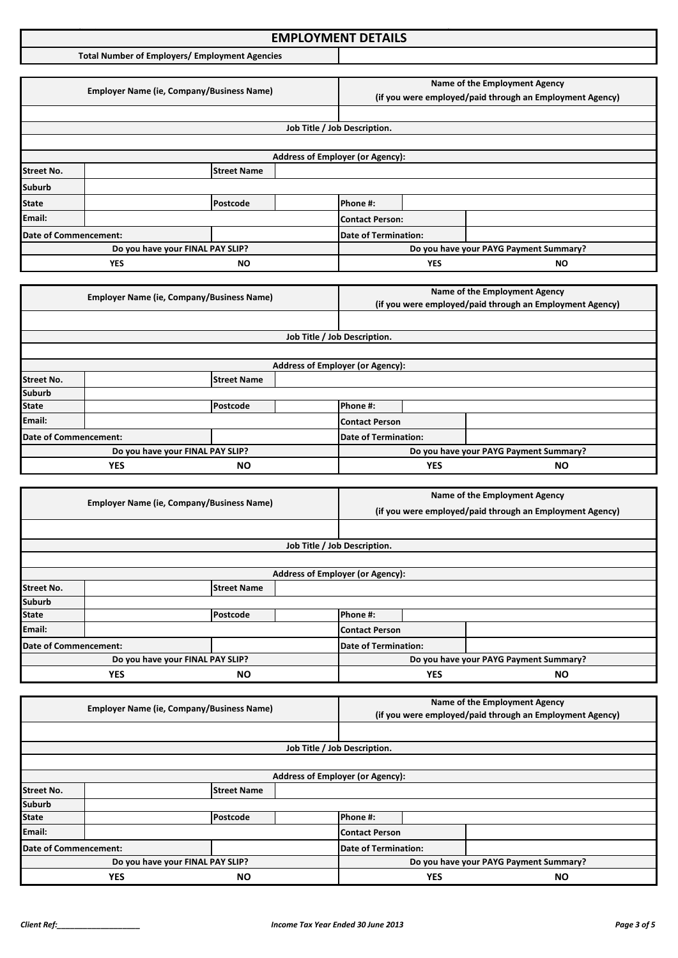### **Income Tax Application Format: EMPLOYMENT DETAILS**

**Total Number of Employers/ Employment Agencies**

|                       | <b>Employer Name (ie, Company/Business Name)</b> |                                                                                                                  |  | Name of the Employment Agency<br>(if you were employed/paid through an Employment Agency) |            |                                        |
|-----------------------|--------------------------------------------------|------------------------------------------------------------------------------------------------------------------|--|-------------------------------------------------------------------------------------------|------------|----------------------------------------|
|                       |                                                  |                                                                                                                  |  |                                                                                           |            |                                        |
|                       |                                                  |                                                                                                                  |  | Job Title / Job Description.                                                              |            |                                        |
|                       |                                                  |                                                                                                                  |  |                                                                                           |            |                                        |
|                       |                                                  |                                                                                                                  |  | <b>Address of Employer (or Agency):</b>                                                   |            |                                        |
| <b>Street No.</b>     |                                                  | <b>Street Name</b>                                                                                               |  |                                                                                           |            |                                        |
| <b>Suburb</b>         |                                                  |                                                                                                                  |  |                                                                                           |            |                                        |
| <b>State</b>          |                                                  | Postcode                                                                                                         |  | Phone #:                                                                                  |            |                                        |
| Email:                |                                                  |                                                                                                                  |  | <b>Contact Person:</b>                                                                    |            |                                        |
| Date of Commencement: |                                                  |                                                                                                                  |  | <b>Date of Termination:</b>                                                               |            |                                        |
|                       |                                                  | Do you have your FINAL PAY SLIP?                                                                                 |  |                                                                                           |            | Do you have your PAYG Payment Summary? |
|                       | <b>YES</b>                                       | ΝO                                                                                                               |  |                                                                                           | <b>YES</b> | ΝO                                     |
|                       |                                                  |                                                                                                                  |  |                                                                                           |            |                                        |
|                       |                                                  | $F_{\text{model}}$ . The Mean of $F_{\text{model}}$ is the contract of $F_{\text{model}}$ and $F_{\text{model}}$ |  |                                                                                           |            | Name of the Employment Agency          |

|                       | <b>Employer Name (ie, Company/Business Name)</b> |                    |  |                                         |            | (if you were employed/paid through an Employment Agency) |
|-----------------------|--------------------------------------------------|--------------------|--|-----------------------------------------|------------|----------------------------------------------------------|
|                       |                                                  |                    |  |                                         |            |                                                          |
|                       |                                                  |                    |  | Job Title / Job Description.            |            |                                                          |
|                       |                                                  |                    |  |                                         |            |                                                          |
|                       |                                                  |                    |  | <b>Address of Employer (or Agency):</b> |            |                                                          |
| <b>Street No.</b>     |                                                  | <b>Street Name</b> |  |                                         |            |                                                          |
| <b>Suburb</b>         |                                                  |                    |  |                                         |            |                                                          |
| <b>State</b>          |                                                  | Postcode           |  | Phone #:                                |            |                                                          |
| Email:                |                                                  |                    |  | Contact Person                          |            |                                                          |
| Date of Commencement: |                                                  |                    |  | Date of Termination:                    |            |                                                          |
|                       | Do you have your FINAL PAY SLIP?                 |                    |  |                                         |            | Do you have your PAYG Payment Summary?                   |
|                       | <b>YES</b><br><b>NO</b>                          |                    |  |                                         | <b>YES</b> | <b>NO</b>                                                |

|                       | <b>Employer Name (ie, Company/Business Name)</b> |                    |  |                                                          | Name of the Employment Agency |                                        |  |
|-----------------------|--------------------------------------------------|--------------------|--|----------------------------------------------------------|-------------------------------|----------------------------------------|--|
|                       |                                                  |                    |  | (if you were employed/paid through an Employment Agency) |                               |                                        |  |
|                       |                                                  |                    |  |                                                          |                               |                                        |  |
|                       |                                                  |                    |  | Job Title / Job Description.                             |                               |                                        |  |
|                       |                                                  |                    |  |                                                          |                               |                                        |  |
|                       |                                                  |                    |  | <b>Address of Employer (or Agency):</b>                  |                               |                                        |  |
| <b>Street No.</b>     |                                                  | <b>Street Name</b> |  |                                                          |                               |                                        |  |
| <b>Suburb</b>         |                                                  |                    |  |                                                          |                               |                                        |  |
| <b>State</b>          |                                                  | Postcode           |  | Phone #:                                                 |                               |                                        |  |
| Email:                |                                                  |                    |  | Contact Person                                           |                               |                                        |  |
| Date of Commencement: |                                                  |                    |  | <b>Date of Termination:</b>                              |                               |                                        |  |
|                       | Do you have your FINAL PAY SLIP?                 |                    |  |                                                          |                               | Do you have your PAYG Payment Summary? |  |
|                       | YES<br><b>NO</b>                                 |                    |  |                                                          | YES                           | <b>NO</b>                              |  |

|                       | <b>Employer Name (ie, Company/Business Name)</b> |                    |                                         | Name of the Employment Agency                            |            |                                        |
|-----------------------|--------------------------------------------------|--------------------|-----------------------------------------|----------------------------------------------------------|------------|----------------------------------------|
|                       |                                                  |                    |                                         | (if you were employed/paid through an Employment Agency) |            |                                        |
|                       |                                                  |                    |                                         |                                                          |            |                                        |
|                       |                                                  |                    | Job Title / Job Description.            |                                                          |            |                                        |
|                       |                                                  |                    |                                         |                                                          |            |                                        |
|                       |                                                  |                    | <b>Address of Employer (or Agency):</b> |                                                          |            |                                        |
| <b>Street No.</b>     |                                                  | <b>Street Name</b> |                                         |                                                          |            |                                        |
| <b>Suburb</b>         |                                                  |                    |                                         |                                                          |            |                                        |
| <b>State</b>          |                                                  | Postcode           |                                         | Phone #:                                                 |            |                                        |
| Email:                |                                                  |                    |                                         | Contact Person                                           |            |                                        |
| Date of Commencement: |                                                  |                    |                                         | <b>Date of Termination:</b>                              |            |                                        |
|                       | Do you have your FINAL PAY SLIP?                 |                    |                                         |                                                          |            | Do you have your PAYG Payment Summary? |
|                       | <b>YES</b><br><b>NO</b>                          |                    |                                         |                                                          | <b>YES</b> | <b>NO</b>                              |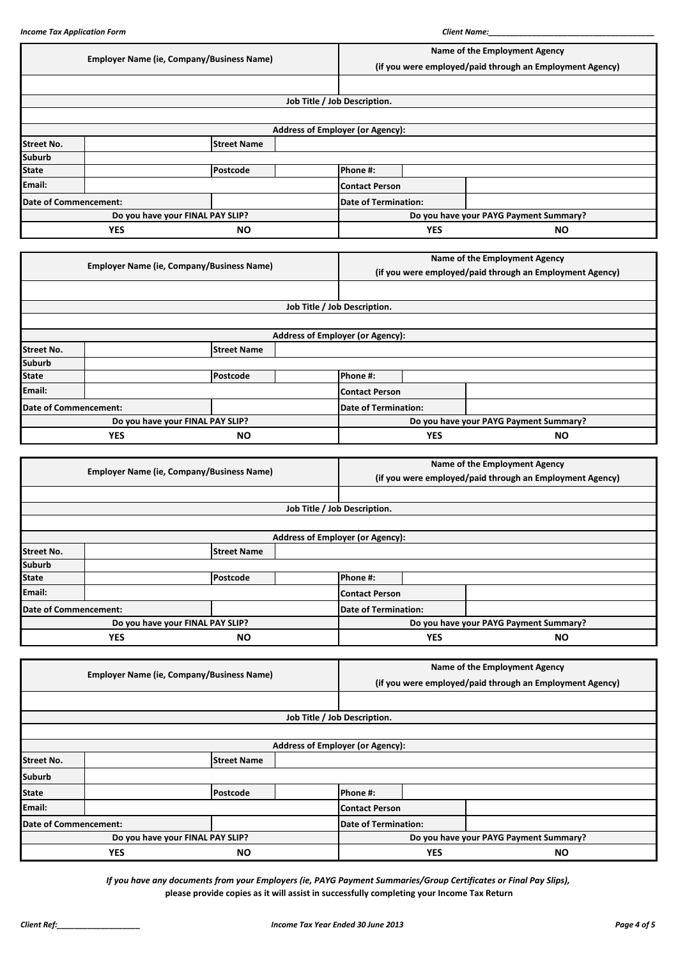|                              | <b>Employer Name (ie, Company/Business Name)</b> |                                                  |  |                                                          | Name of the Employment Agency |                                                          |           |  |
|------------------------------|--------------------------------------------------|--------------------------------------------------|--|----------------------------------------------------------|-------------------------------|----------------------------------------------------------|-----------|--|
|                              |                                                  |                                                  |  | (if you were employed/paid through an Employment Agency) |                               |                                                          |           |  |
|                              |                                                  |                                                  |  |                                                          |                               |                                                          |           |  |
|                              |                                                  |                                                  |  | Job Title / Job Description.                             |                               |                                                          |           |  |
|                              |                                                  |                                                  |  |                                                          |                               |                                                          |           |  |
|                              |                                                  |                                                  |  | <b>Address of Employer (or Agency):</b>                  |                               |                                                          |           |  |
| <b>Street No.</b>            | <b>Street Name</b>                               |                                                  |  |                                                          |                               |                                                          |           |  |
| <b>Suburb</b>                |                                                  |                                                  |  |                                                          |                               |                                                          |           |  |
| <b>State</b>                 |                                                  | Postcode                                         |  | Phone #:                                                 |                               |                                                          |           |  |
| Email:                       |                                                  |                                                  |  | <b>Contact Person</b>                                    |                               |                                                          |           |  |
| <b>Date of Commencement:</b> |                                                  |                                                  |  | <b>Date of Termination:</b>                              |                               |                                                          |           |  |
|                              |                                                  | Do you have your FINAL PAY SLIP?                 |  |                                                          |                               | Do you have your PAYG Payment Summary?                   |           |  |
|                              | <b>YES</b>                                       | <b>NO</b>                                        |  |                                                          | <b>YES</b>                    |                                                          | <b>NO</b> |  |
|                              |                                                  |                                                  |  |                                                          |                               |                                                          |           |  |
|                              |                                                  |                                                  |  |                                                          |                               |                                                          |           |  |
|                              |                                                  |                                                  |  |                                                          |                               | Name of the Employment Agency                            |           |  |
|                              |                                                  | <b>Employer Name (ie, Company/Business Name)</b> |  |                                                          |                               | (if you were employed/paid through an Employment Agency) |           |  |
|                              |                                                  |                                                  |  |                                                          |                               |                                                          |           |  |
|                              |                                                  |                                                  |  |                                                          |                               |                                                          |           |  |
|                              |                                                  |                                                  |  | Job Title / Job Description.                             |                               |                                                          |           |  |
|                              |                                                  |                                                  |  |                                                          |                               |                                                          |           |  |
| <b>Street No.</b>            |                                                  | <b>Street Name</b>                               |  | <b>Address of Employer (or Agency):</b>                  |                               |                                                          |           |  |
| Suburb                       |                                                  |                                                  |  |                                                          |                               |                                                          |           |  |
| <b>State</b>                 |                                                  | Postcode                                         |  | Phone #:                                                 |                               |                                                          |           |  |
| Email:                       |                                                  |                                                  |  | <b>Contact Person</b>                                    |                               |                                                          |           |  |
| <b>Date of Commencement:</b> |                                                  |                                                  |  | <b>Date of Termination:</b>                              |                               |                                                          |           |  |
|                              |                                                  | Do you have your FINAL PAY SLIP?                 |  |                                                          |                               | Do you have your PAYG Payment Summary?                   |           |  |

|                       | <b>Employer Name (ie, Company/Business Name)</b> |                    |  | Name of the Employment Agency                            |            |           |
|-----------------------|--------------------------------------------------|--------------------|--|----------------------------------------------------------|------------|-----------|
|                       |                                                  |                    |  | (if you were employed/paid through an Employment Agency) |            |           |
|                       |                                                  |                    |  |                                                          |            |           |
|                       |                                                  |                    |  | Job Title / Job Description.                             |            |           |
|                       |                                                  |                    |  |                                                          |            |           |
|                       |                                                  |                    |  | <b>Address of Employer (or Agency):</b>                  |            |           |
| <b>Street No.</b>     |                                                  | <b>Street Name</b> |  |                                                          |            |           |
| <b>Suburb</b>         |                                                  |                    |  |                                                          |            |           |
| <b>State</b>          |                                                  | Postcode           |  | Phone #:                                                 |            |           |
| Email:                |                                                  |                    |  | <b>Contact Person</b>                                    |            |           |
| Date of Commencement: |                                                  |                    |  | <b>Date of Termination:</b>                              |            |           |
|                       | Do you have your FINAL PAY SLIP?                 |                    |  | Do you have your PAYG Payment Summary?                   |            |           |
|                       | <b>YES</b><br><b>NO</b>                          |                    |  |                                                          | <b>YES</b> | <b>NO</b> |

|                       | <b>Employer Name (ie, Company/Business Name)</b> |                    |  | Name of the Employment Agency                            |            |           |
|-----------------------|--------------------------------------------------|--------------------|--|----------------------------------------------------------|------------|-----------|
|                       |                                                  |                    |  | (if you were employed/paid through an Employment Agency) |            |           |
|                       |                                                  |                    |  |                                                          |            |           |
|                       |                                                  |                    |  | Job Title / Job Description.                             |            |           |
|                       |                                                  |                    |  |                                                          |            |           |
|                       |                                                  |                    |  | <b>Address of Employer (or Agency):</b>                  |            |           |
| <b>Street No.</b>     |                                                  | <b>Street Name</b> |  |                                                          |            |           |
| <b>Suburb</b>         |                                                  |                    |  |                                                          |            |           |
| <b>State</b>          |                                                  | Postcode           |  | Phone #:                                                 |            |           |
| Email:                |                                                  |                    |  | <b>Contact Person</b>                                    |            |           |
| Date of Commencement: |                                                  |                    |  | <b>Date of Termination:</b>                              |            |           |
|                       | Do you have your FINAL PAY SLIP?                 |                    |  | Do you have your PAYG Payment Summary?                   |            |           |
|                       | <b>YES</b><br><b>NO</b>                          |                    |  |                                                          | <b>YES</b> | <b>NO</b> |

*If you have any documents from your Employers (ie, PAYG Payment Summaries/Group Certificates or Final Pay Slips),* **please provide copies as it will assist in successfully completing your Income Tax Return**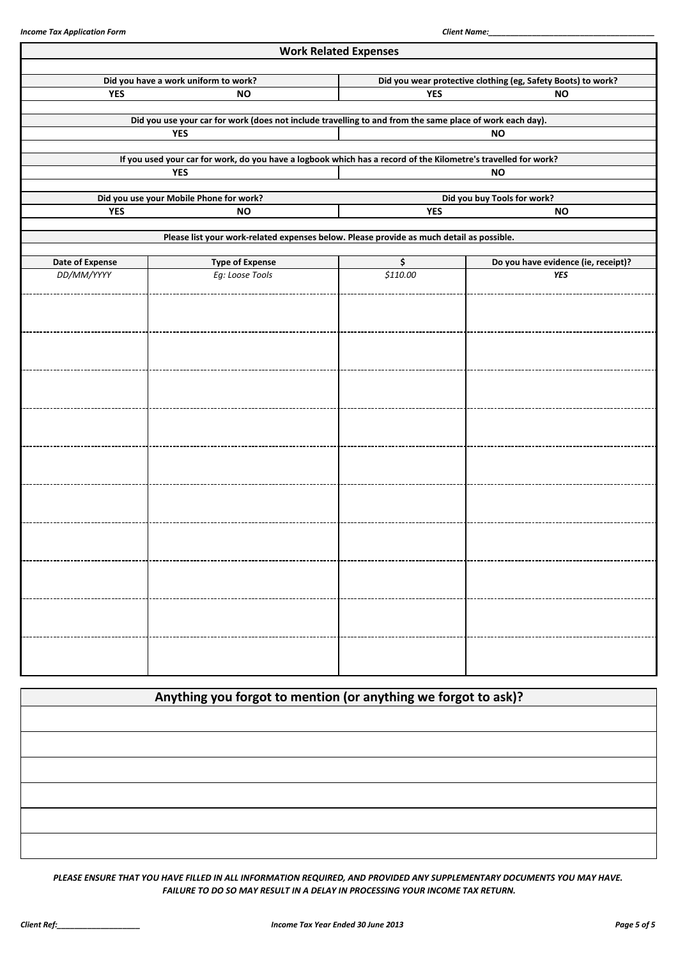|                 |                                                                                                                | <b>Work Related Expenses</b> |                                                              |  |  |  |
|-----------------|----------------------------------------------------------------------------------------------------------------|------------------------------|--------------------------------------------------------------|--|--|--|
|                 | Did you have a work uniform to work?                                                                           |                              | Did you wear protective clothing (eg, Safety Boots) to work? |  |  |  |
| <b>YES</b>      | <b>NO</b>                                                                                                      | <b>YES</b><br><b>NO</b>      |                                                              |  |  |  |
|                 | Did you use your car for work (does not include travelling to and from the same place of work each day).       |                              |                                                              |  |  |  |
|                 | <b>YES</b>                                                                                                     |                              | <b>NO</b>                                                    |  |  |  |
|                 | If you used your car for work, do you have a logbook which has a record of the Kilometre's travelled for work? |                              |                                                              |  |  |  |
|                 | <b>YES</b>                                                                                                     |                              | <b>NO</b>                                                    |  |  |  |
|                 | Did you use your Mobile Phone for work?                                                                        |                              | Did you buy Tools for work?                                  |  |  |  |
| <b>YES</b>      | <b>NO</b>                                                                                                      | <b>YES</b>                   | <b>NO</b>                                                    |  |  |  |
|                 | Please list your work-related expenses below. Please provide as much detail as possible.                       |                              |                                                              |  |  |  |
| Date of Expense | <b>Type of Expense</b>                                                                                         | \$                           | Do you have evidence (ie, receipt)?                          |  |  |  |
| DD/MM/YYYY      | Eg: Loose Tools                                                                                                | \$110.00                     | <b>YES</b>                                                   |  |  |  |
|                 |                                                                                                                |                              |                                                              |  |  |  |
|                 |                                                                                                                |                              |                                                              |  |  |  |
|                 |                                                                                                                |                              |                                                              |  |  |  |
|                 |                                                                                                                |                              |                                                              |  |  |  |
|                 |                                                                                                                |                              |                                                              |  |  |  |
|                 |                                                                                                                |                              |                                                              |  |  |  |
|                 |                                                                                                                |                              |                                                              |  |  |  |
|                 |                                                                                                                |                              |                                                              |  |  |  |
|                 |                                                                                                                |                              |                                                              |  |  |  |
|                 |                                                                                                                |                              |                                                              |  |  |  |
|                 |                                                                                                                |                              |                                                              |  |  |  |
|                 |                                                                                                                |                              |                                                              |  |  |  |
|                 |                                                                                                                |                              |                                                              |  |  |  |
|                 |                                                                                                                |                              |                                                              |  |  |  |
|                 |                                                                                                                |                              |                                                              |  |  |  |
|                 |                                                                                                                |                              |                                                              |  |  |  |
|                 |                                                                                                                |                              |                                                              |  |  |  |
|                 |                                                                                                                |                              |                                                              |  |  |  |
|                 |                                                                                                                |                              |                                                              |  |  |  |
|                 |                                                                                                                |                              |                                                              |  |  |  |

| Anything you forgot to mention (or anything we forgot to ask)? |  |  |
|----------------------------------------------------------------|--|--|
|                                                                |  |  |
|                                                                |  |  |
|                                                                |  |  |
|                                                                |  |  |
|                                                                |  |  |
|                                                                |  |  |

*PLEASE ENSURE THAT YOU HAVE FILLED IN ALL INFORMATION REQUIRED, AND PROVIDED ANY SUPPLEMENTARY DOCUMENTS YOU MAY HAVE. FAILURE TO DO SO MAY RESULT IN A DELAY IN PROCESSING YOUR INCOME TAX RETURN.*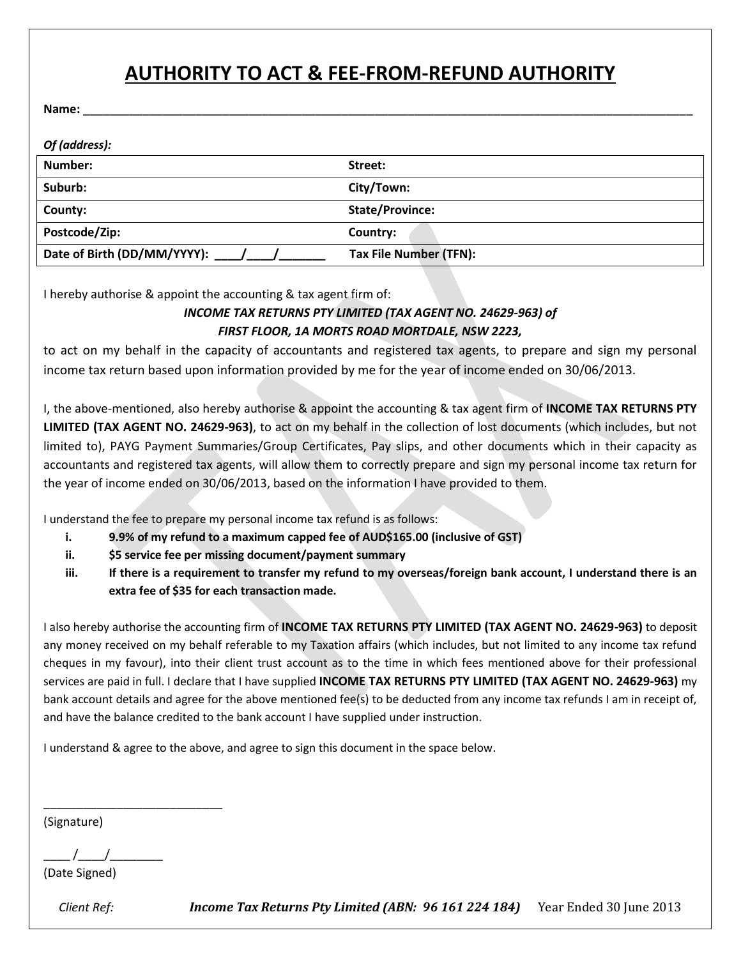# **AUTHORITY TO ACT & FEE-FROM-REFUND AUTHORITY**

**Name:** \_\_\_\_\_\_\_\_\_\_\_\_\_\_\_\_\_\_\_\_\_\_\_\_\_\_\_\_\_\_\_\_\_\_\_\_\_\_\_\_\_\_\_\_\_\_\_\_\_\_\_\_\_\_\_\_\_\_\_\_\_\_\_\_\_\_\_\_\_\_\_\_\_\_\_\_\_\_\_\_\_\_\_\_\_\_\_\_\_\_\_\_

| Of (address):                  |                        |
|--------------------------------|------------------------|
| Number:                        | Street:                |
| Suburb:                        | City/Town:             |
| County:                        | State/Province:        |
| Postcode/Zip:                  | Country:               |
| Date of Birth (DD/MM/YYYY): // | Tax File Number (TFN): |

I hereby authorise & appoint the accounting & tax agent firm of:

#### *INCOME TAX RETURNS PTY LIMITED (TAX AGENT NO. 24629-963) of FIRST FLOOR, 1A MORTS ROAD MORTDALE, NSW 2223,*

to act on my behalf in the capacity of accountants and registered tax agents, to prepare and sign my personal income tax return based upon information provided by me for the year of income ended on 30/06/2013.

I, the above-mentioned, also hereby authorise & appoint the accounting & tax agent firm of **INCOME TAX RETURNS PTY LIMITED (TAX AGENT NO. 24629-963)**, to act on my behalf in the collection of lost documents (which includes, but not limited to), PAYG Payment Summaries/Group Certificates, Pay slips, and other documents which in their capacity as accountants and registered tax agents, will allow them to correctly prepare and sign my personal income tax return for the year of income ended on 30/06/2013, based on the information I have provided to them.

I understand the fee to prepare my personal income tax refund is as follows:

- **i. 9.9% of my refund to a maximum capped fee of AUD\$165.00 (inclusive of GST)**
- **ii. \$5 service fee per missing document/payment summary**
- **iii. If there is a requirement to transfer my refund to my overseas/foreign bank account, I understand there is an extra fee of \$35 for each transaction made.**

I also hereby authorise the accounting firm of **INCOME TAX RETURNS PTY LIMITED (TAX AGENT NO. 24629-963)** to deposit any money received on my behalf referable to my Taxation affairs (which includes, but not limited to any income tax refund cheques in my favour), into their client trust account as to the time in which fees mentioned above for their professional services are paid in full. I declare that I have supplied **INCOME TAX RETURNS PTY LIMITED (TAX AGENT NO. 24629-963)** my bank account details and agree for the above mentioned fee(s) to be deducted from any income tax refunds I am in receipt of, and have the balance credited to the bank account I have supplied under instruction.

I understand & agree to the above, and agree to sign this document in the space below.

(Signature)

 $\frac{1}{2}$  /

\_\_\_\_\_\_\_\_\_\_\_\_\_\_\_\_\_\_\_\_\_\_\_\_\_\_\_

(Date Signed)